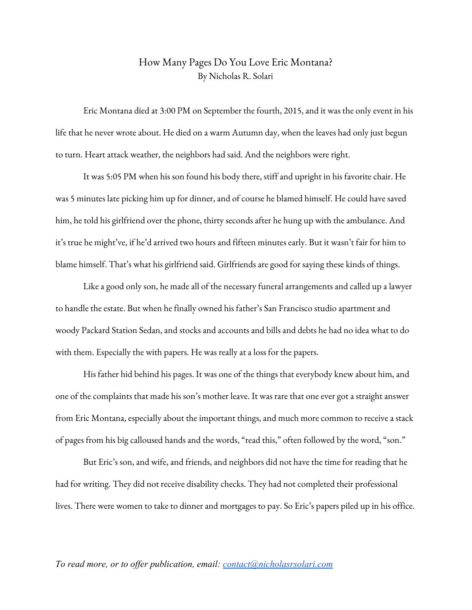## How Many Pages Do You Love Eric Montana? By Nicholas R. Solari

Eric Montana died at 3:00 PM on September the fourth, 2015, and it was the only event in his life that he never wrote about. He died on a warm Autumn day, when the leaves had only just begun to turn. Heart attack weather, the neighbors had said. And the neighbors were right.

It was 5:05 PM when his son found his body there, stiff and upright in his favorite chair. He was 5 minutes late picking him up for dinner, and of course he blamed himself. He could have saved him, he told his girlfriend over the phone, thirty seconds after he hung up with the ambulance. And it's true he might've, if he'd arrived two hours and fifteen minutes early. But it wasn't fair for him to blame himself. That's what his girlfriend said. Girlfriends are good for saying these kinds of things.

Like a good only son, he made all of the necessary funeral arrangements and called up a lawyer to handle the estate. But when he finally owned his father's San Francisco studio apartment and woody Packard Station Sedan, and stocks and accounts and bills and debts he had no idea what to do with them. Especially the with papers. He was really at a loss for the papers.

His father hid behind his pages. It was one of the things that everybody knew about him, and one of the complaints that made his son's mother leave. It was rare that one ever got a straight answer from Eric Montana, especially about the important things, and much more common to receive a stack of pages from his big calloused hands and the words, "read this," often followed by the word, "son."

But Eric's son, and wife, and friends, and neighbors did not have the time for reading that he had for writing. They did not receive disability checks. They had not completed their professional lives. There were women to take to dinner and mortgages to pay. So Eric's papers piled up in his office.

## *To read more, or to offer publication, email: [contact@nicholasrsolari.com](mailto:contact@nicholasrsolari.com)*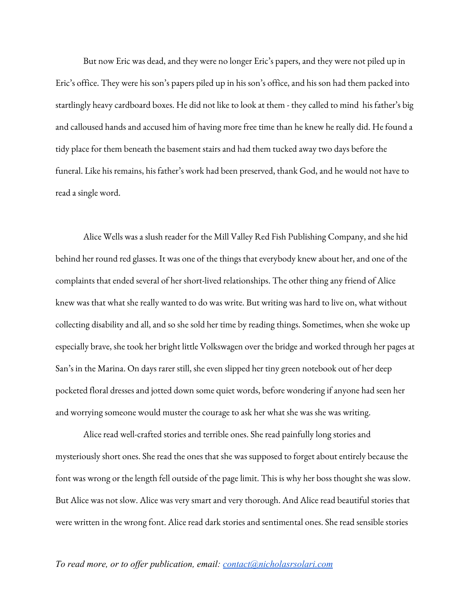But now Eric was dead, and they were no longer Eric's papers, and they were not piled up in Eric's office. They were his son's papers piled up in his son's office, and his son had them packed into startlingly heavy cardboard boxes. He did not like to look at them - they called to mind his father's big and calloused hands and accused him of having more free time than he knew he really did. He found a tidy place for them beneath the basement stairs and had them tucked away two days before the funeral. Like his remains, his father's work had been preserved, thank God, and he would not have to read a single word.

Alice Wells was a slush reader for the Mill Valley Red Fish Publishing Company, and she hid behind her round red glasses. It was one of the things that everybody knew about her, and one of the complaints that ended several of her short-lived relationships. The other thing any friend of Alice knew was that what she really wanted to do was write. But writing was hard to live on, what without collecting disability and all, and so she sold her time by reading things. Sometimes, when she woke up especially brave, she took her bright little Volkswagen over the bridge and worked through her pages at San's in the Marina. On days rarer still, she even slipped her tiny green notebook out of her deep pocketed floral dresses and jotted down some quiet words, before wondering if anyone had seen her and worrying someone would muster the courage to ask her what she was she was writing.

Alice read well-crafted stories and terrible ones. She read painfully long stories and mysteriously short ones. She read the ones that she was supposed to forget about entirely because the font was wrong or the length fell outside of the page limit. This is why her boss thought she was slow. But Alice was not slow. Alice was very smart and very thorough. And Alice read beautiful stories that were written in the wrong font. Alice read dark stories and sentimental ones. She read sensible stories

## *To read more, or to offer publication, email: [contact@nicholasrsolari.com](mailto:contact@nicholasrsolari.com)*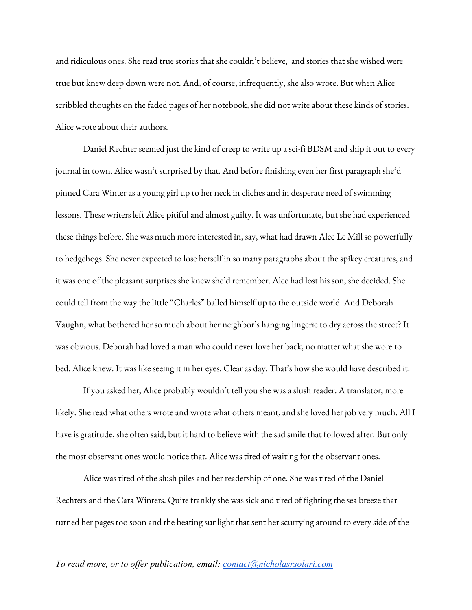and ridiculous ones. She read true stories that she couldn't believe, and stories that she wished were true but knew deep down were not. And, of course, infrequently, she also wrote. But when Alice scribbled thoughts on the faded pages of her notebook, she did not write about these kinds of stories. Alice wrote about their authors.

Daniel Rechter seemed just the kind of creep to write up a sci-fi BDSM and ship it out to every journal in town. Alice wasn't surprised by that. And before finishing even her first paragraph she'd pinned Cara Winter as a young girl up to her neck in cliches and in desperate need of swimming lessons. These writers left Alice pitiful and almost guilty. It was unfortunate, but she had experienced these things before. She was much more interested in, say, what had drawn Alec Le Mill so powerfully to hedgehogs. She never expected to lose herself in so many paragraphs about the spikey creatures, and it was one of the pleasant surprises she knew she'd remember. Alec had lost his son, she decided. She could tell from the way the little "Charles" balled himself up to the outside world. And Deborah Vaughn, what bothered her so much about her neighbor's hanging lingerie to dry across the street? It was obvious. Deborah had loved a man who could never love her back, no matter what she wore to bed. Alice knew. It was like seeing it in her eyes. Clear as day. That's how she would have described it.

If you asked her, Alice probably wouldn't tell you she was a slush reader. A translator, more likely. She read what others wrote and wrote what others meant, and she loved her job very much. All I have is gratitude, she often said, but it hard to believe with the sad smile that followed after. But only the most observant ones would notice that. Alice was tired of waiting for the observant ones.

Alice was tired of the slush piles and her readership of one. She was tired of the Daniel Rechters and the Cara Winters. Quite frankly she was sick and tired of fighting the sea breeze that turned her pages too soon and the beating sunlight that sent her scurrying around to every side of the

*To read more, or to offer publication, email: [contact@nicholasrsolari.com](mailto:contact@nicholasrsolari.com)*